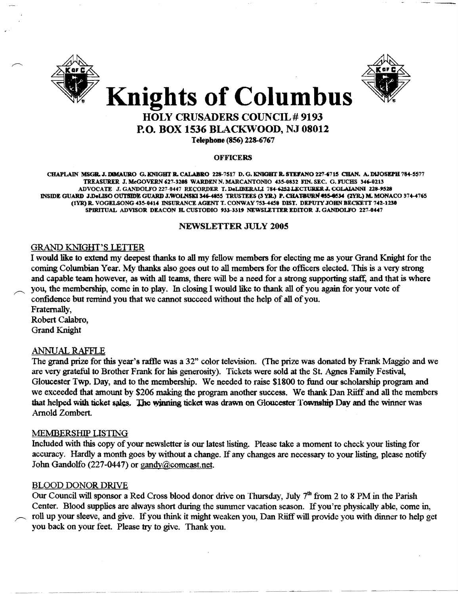



# HOLY CRUSADERS COUNCIL # 9193 P.O. BOX 1536 BlACKWOOD, NJ 08012

Telephone (856) 228-6767

#### **OFFICERS**

CHAPLAIN MSGR. J. DIMAURO G. KNIGHT R. CALABRO 228-7517 D. G. KNIGHT R. STEFANO 227-6715 CHAN. A. DIJOSEPH 784-5577 TREASU'R.ER J.MeOOVERN'27-3288 WARDENN.MARCANTONIO 435-0832 FIN.SEC. G.FUCHS 346-0213 ADVOCATE J. GANDOLFO 227-0447 RECORDER T. DeLIBERALI 784-6252 LECTURER J. COLAIANNI 228-9528 INSIDE GUARD J.DeLISO OUTSIDE GUARD J.WOLN\$KI 346-4855 TRUSTEES (3 YR.) P. CHATBURN #35-8534 (2YR.) M. MONACO 374-4765 (IYR) JL VOGELSONG 435-0414 INSURANCE AGENT T. CONWAY 753-4458 DIST. DEPUTY JOHN BECKETT 742-123' SPIRITUAL ADVISOR DEACON H. CUSTODIO 933-3319 NEWSLETTER EDITOR J. GANDOLFO 227-0447

#### NEWSLETTER JULy 2005

# GRAND KNIGHT'S LETTER

I would like to extend my deepest thanks to all my fellow members for electing me as your Grand Knight for the coming Columbian Year. My thanks also goes out to all members for the officers elected. This is a very strong and capable team however, as with all teams, there will be a need for a strong supporting staff, and that is where you, the membership, come in to play. In closing I would like to thank all ofyou again for your vote of confidence but remind you that we cannot succeed without the help of all of you.

Fraternally, Robert Calabro, Grand Knight

### ANNUAL RAFFLE

The grand prize for this year's raftle was a 32" color television. (The prize was donated by Frank Maggio and we are very grateful to Brother Frank for his generosity). Tickets were sold at the St. Agnes Family Festival, Gloucester Twp. Day, and to the membership. We needed to raise \$1800 to fund our scholarship program and we exceeded that amount by \$206 making the program another success. We thank Dan Riiff and all the members that helped with ticket sales. The winning ticket was drawn on Gloucester Township Day and the winner was Arnold Zombert.

### MEMBERSHIP LISTING

Included with this copy of your newsletter is our latest listing. Please take a moment to check your listing for accuracy. Hardly a month goes by without a change. If any changes are necessary to your listing, please notify John Gandolfo (227-0447) or gandy@comcast.net.

### BLOOD DONOR DRIVE

Our Council will sponsor a Red Cross blood donor drive on Thursday, July  $7<sup>th</sup>$  from 2 to 8 PM in the Parish Center. Blood supplies are always short during the summer vacation season. If you're physically able, come in, roll up your sleeve, and give. If you think it might weaken you, Dan Riiff will provide you with dinner to help get you back on your feet. Please try to give. Thank you.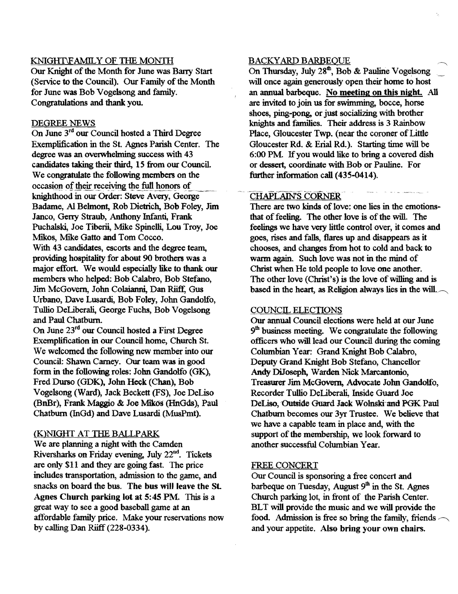### KNIGHI\FAMILY OF THE MONTH

Our Knight of the Month for June was Barry Start (Service to the Council). Our Family of the Month for June was Bob Vogelsong and family. Congratulations and thank you.

#### DEGREE NEWS

On June 3rd our Council hosted a Third Degree Exemplification in the St. Agnes Parish Center. The degree was an overwhehning success with 43 candidates taking their third, 15 from our Council. We congratulate the following members on the occasion of their receiving the full honors of<br>knighthood in our Order: Steve Avery, George Badame, Al Belmont, Rob Dietrich, Bob Foley, Jim Janco, Gerry Straub, Anthony Infanti, Frank Puchalski, Joe Tiberii, Mike Spinelli, Lou Troy, Joe Mikos, Mike Gatto and Tom Cocco. With 43 candidates, escorts and the degree team, providing hospitality for about 90 brothers was a major effort. We would especially like to thank our members who helped: Bob Calabro, Bob Stefano, Jim McGovern, John Colaianni, Dan Riiff, Gus Urbano, Dave Lusardi, Bob Foley, Jolm Gandolfo, Tullio DeLiberali, George Fuchs, Bob Vogelsong and Paul Chatburn.

On June 23<sup>rd</sup> our Council hosted a First Degree Exemplification in our Council home, Church St. We welcomed the following new member into our Council: Shawn Carney. Our team was in good form in the following roles: John Gandolfo (GK), Fred Durso (GDK), Jolm Heck (Chan), Bob Vogelsong (Ward), Jack Beckett (FS), Joe DeLiso (BnBr), Frank Maggio & Joe Mikos (HnGds), Paul Chatburn (InGd) and Dave Lusardi (MusPmt).

## (K)NIGHT AT THE BALLPARK

We are planning a night with the Camden Riversharks on Friday evening, July 22<sup>nd</sup>. Tickets are only S11 and they are going fast. The price includes transportation, admission to the game, and snacks on board the bus. The bus will leave the St. Agnes Church parking lot at 5: 45 PM. This is a great way to see a good baseball game at an affordable family price. Make your reservations now by calling Dan Riiff  $(228-0334)$ .

#### BACKYARD BARBEQUE

On Thursday, July 28<sup>th</sup>, Bob & Pauline Vogelsong will once again generously open their home to host an annual barbeque. No meeting on this night. All are invited to join us for swinuning, bocce, horse shoes, ping-pong, or just socializing with brother knights and families. Their address is 3 Rainbow Place, Gloucester Twp. (near the coroner of Little Gloucester Rd. & Erial Rd.). Starting time will be 6:00 PM. If you would like to bring a covered dish or dessert, coordinate with Bob or Pauline. For further information call (435-0414).

## CHAPLAIN'S CORNER

There are two kinds of love: one lies in the emotionsthat of feeling. The other love is of the will. The feelings we have very little control over, it comes and goes, rises and falls, flares up and disappears as it chooses, and changes from hot to cold and back to warm again. Such love was not in the mind of Christ when He told people to love one another. The other love (Christ's) is the love of willing and is based in the heart, as Religion always lies in the will. $\sim$ 

#### COUNCIL ELECTIONS

Our annual Council elections were held at our June 9<sup>th</sup> business meeting. We congratulate the following officers who will lead our Council during the coming Columbian Year: Grand Knight Bob Calabro, Deputy Grand Knight Bob Stefano, Chancellor Andy DiJoseph, Warden Nick Marcantonio, Treasurer Jim McGovern, Advocate Jolm Gandolfo, Recorder Tullio DeLiberali, Inside Guard Joe DeLiso, Outside Guard Jack Wolnski and PGK Paul Chatburn becomes our 3yr Trustee. We believe that we have a capable team in place and, with the support of the membership, we look forward to another successful Columbian Year.

# FREE CONCERT

Our Council is sponsoring a free concert and barbeque on Tuesday, August  $9<sup>th</sup>$  in the St. Agnes Church parking lot, in front of the Parish Center. BLT will provide the music and we will provide the food. Admission is free so bring the family, friends  $\sim$ and your appetite. Also bring your own chairs.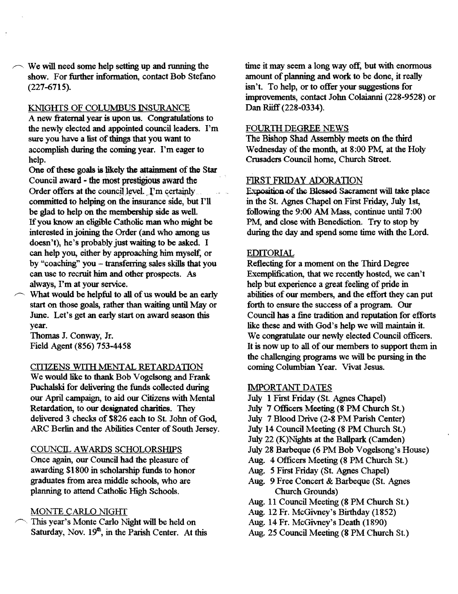$\sim$  We will need some help setting up and running the show. For further information, contact Bob Stefano (227-6715).

### KNIGHfS OF COLUMBUS INSURANCE

A new fraternal year is upon us. Congratulations to the newly elected and appointed council leaders. I'm sure you have a list of things that you want to accomplish during the coming year. I'm eager to help.

One of these goals is likely the attainment of the Star Council award - the most prestigious award the Order offers at the council level.  $\Gamma$ <sup>m</sup> certainly committed to helping on the insurance side, but I'll be glad to help on the membership side as well. If you know an eligible Catholic man who might be interested in joining the Order (and who among us doesn't), he's probably just waiting to be asked. I can help you, either by approaching him myse1f, or by "coaching" you - transferring sales skills that you can use to recruit him and other prospects. As always, I'm at your service.

What would be helpful to all of us would be an early start on those goals, rather than waiting until May or June. Let's get an early start on award season this year.

Thomas J. Conway, Jr. Field Agent (856) 753-4458

#### CITIZENS WITH MENTAL RETARDATION

We would like to thank Bob Vogelsong and Frank Puchalski for delivering the funds collected during our April campaign, to aid our Citizens with Mental Retardation, to our designated charities. They delivered 3 checks of \$826 each to St. John of God, ARC Berlin and the Abilities Center of South Jersey.

### COUNCIL AWARDS SCHOLORSHIPS

Once again, our Council had the pleasure of awarding \$1800 in scholarship funds to honor graduates from area middle schools, who are planning to attend Catholic High Schools.

# MONTE CARLO NIGHT

This year's Monte Carlo Night will be held on Saturday, Nov.  $19<sup>th</sup>$ , in the Parish Center. At this time it may seem a long way off, but with enormous amount of planning and work to be done, it really isn't. To help, or to offer your suggestions for improvements, contact John Colaianni (228-9528) or Dan Riiff (228-0334).

# FOURTH DEGREE NEWS

The Bishop Shad Assembly meets on the third Wednesday of the month, at 8:00 PM, at the Holy Crusaders Council home, Church Street.

# FIRST FRIDAY ADORATION

Exposition of the Blessed Sacrament will take place in the St. Agnes Chapel on First Friday, July 1st, following the 9:00 AM Mass, continue until 7:00 PM, and close with Benediction. Try to stop by during the day and spend some time with the Lord.

#### EDITORIAL

Reflecting for a moment on the Third Degree Exemplification, that we recently hosted, we can't help but experience a great feeling of pride in abilities of our members, and the effort they can put forth to ensure the success of a program. Our Council has a fine tradition and reputation for efforts like these and with God's help we will maintain it. We congratulate our newly elected Council officers. It is now up to all of our members to support them in the challenging programs we will be pursing in the coming Columbian Year. Vivat Jesus.

#### IMPORTANT DATES

- July 1 First Friday (St. Agnes Chapel)
- July 7 Officers Meeting (8·PM Church St.)
- July 7 Blood Drive (2-8 PM Parish Center)
- July 14 Council Meeting (8 PM Church St.)
- July 22 (K)Nights at the Ballpark (Camden)
- July 28 Barbeque (6 PM Bob Vogelsong's House)
- Aug. 4 Officers Meeting (8 PM Church St.)
- Aug. 5 First Friday (St. Agnes Chapel)
- Aug. 9 Free Concert & Barbeque (St. Agnes Church Grounds)
- Aug. 11 Council Meeting (8 PM Church St.)
- Aug. 12 Fr. McGivney's Birthday (1852)
- Aug. 14 Fr. McGivney's Death (1890)
- Aug. 25 Council Meeting (8 PM Church St.)